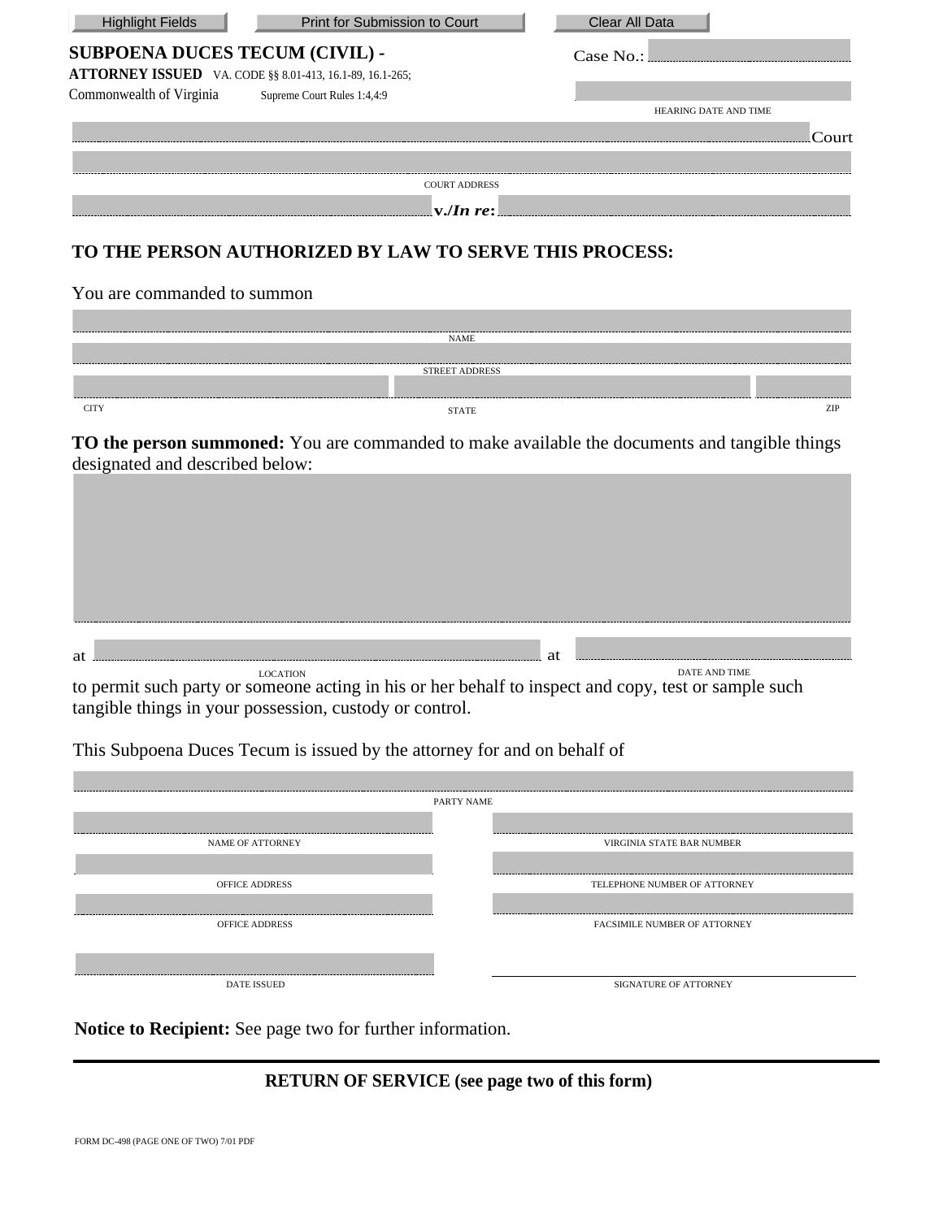| <b>Highlight Fields</b>                                         | Print for Submission to Court                          | <b>Clear All Data</b> |
|-----------------------------------------------------------------|--------------------------------------------------------|-----------------------|
| <b>SUBPOENA DUCES TECUM (CIVIL) -</b>                           |                                                        | Case No.              |
| <b>ATTORNEY ISSUED</b> VA. CODE §§ 8.01-413, 16.1-89, 16.1-265; |                                                        |                       |
| Commonwealth of Virginia                                        | Supreme Court Rules 1:4,4:9                            |                       |
|                                                                 |                                                        | HEARING DATE AND TIME |
|                                                                 |                                                        | Court                 |
|                                                                 |                                                        |                       |
|                                                                 | <b>COURT ADDRESS</b>                                   |                       |
|                                                                 | $ v $ <i>v</i> . <i>In re:</i>                         |                       |
|                                                                 | TO THE PERSON AUTHORIZED BY LAW TO SERVE THIS PROCESS: |                       |
| You are commanded to summon                                     |                                                        |                       |

|             | <b>NAME</b>           |     |
|-------------|-----------------------|-----|
|             |                       |     |
|             | <b>STREET ADDRESS</b> |     |
|             |                       |     |
| <b>CITY</b> | <b>STATE</b>          | ZIP |

**TO the person summoned:** You are commanded to make available the documents and tangible things designated and described below:

| at                                                                                                   | at |               |  |
|------------------------------------------------------------------------------------------------------|----|---------------|--|
| LOCATION                                                                                             |    | DATE AND TIME |  |
| to permit such party or someone acting in his or her behalf to inspect and copy, test or sample such |    |               |  |

tangible things in your possession, custody or control.

This Subpoena Duces Tecum is issued by the attorney for and on behalf of

| PARTY NAME            |                                     |  |  |  |
|-----------------------|-------------------------------------|--|--|--|
|                       |                                     |  |  |  |
| NAME OF ATTORNEY      | VIRGINIA STATE BAR NUMBER           |  |  |  |
|                       |                                     |  |  |  |
| <b>OFFICE ADDRESS</b> | TELEPHONE NUMBER OF ATTORNEY        |  |  |  |
|                       |                                     |  |  |  |
| <b>OFFICE ADDRESS</b> | <b>FACSIMILE NUMBER OF ATTORNEY</b> |  |  |  |
|                       |                                     |  |  |  |
|                       |                                     |  |  |  |
| <b>DATE ISSUED</b>    | SIGNATURE OF ATTORNEY               |  |  |  |

**Notice to Recipient:** See page two for further information.

## **RETURN OF SERVICE (see page two of this form)**